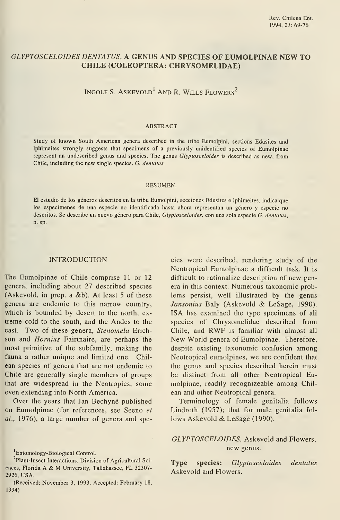# GLYPTOSCELOIDES DENTATUS, A GENUS AND SPECIES OF EUMOLPINAE NEW TO CHILE (COLEÓPTERA: CHRYSOMELIDAE)

INGOLF S. ASKEVOLD<sup>1</sup> AND R. WILLS FLOWERS<sup>2</sup>

#### ABSTRACT

Study of known South American genera described in the tribe Eumolpini, sections Edusites and Iphimeites strongly suggests that specimens of a previously unidentified species of Eumolpinae represent an undescribed genus and species. The genus Glyptosceloides is described as new, from Chile, including the new single species. G. dentatus.

#### RESUMEN.

El estudio de los géneros descritos en la tribu Eumolpini, secciones Edusites e Iphimeites, indica que los especímenes de una especie no identificada hasta ahora representan un género y especie no descritos. Se describe un nuevo género para Chile, Glyptosceloides, con una sola especie G. dentatus, n. sp.

#### INTRODUCTION

The Eumolpinae of Chile comprise 11 or 12 genera, including about 27 described species (Askevold, in prep. a &b). At least 5 of these genera are endemic to this narrow country, which is bounded by desert to the north, extreme cold to the south, and the Andes to the east. Two of these genera, Stenomela Erich son and Hornius Fairtnaire, are perhaps the most primitive of the subfamily, making the fauna a rather unique and limited one. Chil ean species of genera that are not endemic to Chile are generally single members of groups that are widespread in the Neotropics, some even extending into North America.

Over the years that Jan Bechyné published on Eumolpinae (for references, see Seeno et al., 1976), a large number of genera and species were described, rendering study of the Neotropical Eumolpinae a difficult task. It is difficult to rationalize description of new genera in this context. Numerous taxonomic problems persist, well illustrated by the genus Jansonius Baly (Askevold & LeSage, 1990). ISA has examined the type specimens of all species of Chrysomelidae described from Chile, and RWF is familiar with almost all New World genera of Eumolpinae. Therefore, despite existing taxonomic confusion among Neotropical eumolpines, we are confident that the genus and species described herein must be distinct from all other Neotropical Eumolpinae, readily recognizeable among Chil ean and other Neotropical genera.

Terminology of female genitalia follows Lindroth (1957); that for male genitalia fol lows Askevold & LeSage (1990).

### GLYPTOSCELOIDES, Askevold and Flowers, new genus.

Type species: Glyptosceloides dentatus Askevold and Flowers.

Entomology-Biological Control.

<sup>&</sup>lt;sup>2</sup>Plant-lnsect Interactions, Division of Agricultural Sciences, Florida A & M University, Tallahassee, FL 32307- 2926, USA.

<sup>(</sup>Received: November 3, 1993. Accepted: February 18, 1994)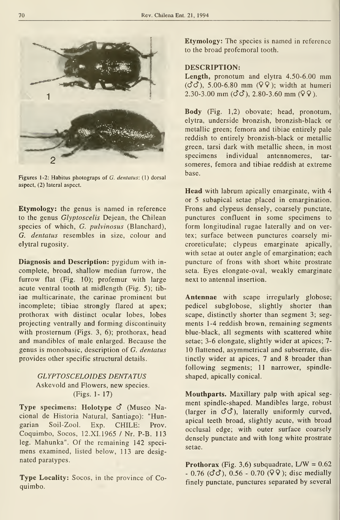

Figures 1-2: Habitus photograps of G. dentatus: (1) dorsal aspect, (2) lateral aspect.

Etymology: the genus is named in reference to the genus Glyptoscelis Dejean, the Chilean species of which, G. pulvinosus (Blanchard), G. dentatus resembles in size, colour and elytral rugosity.

Diagnosis and Description: pygidum with in complete, broad, shallow median furrow, the furrow flat (Fig. 10); profemur with large acute ventral tooth at midlength (Fig. 5); tib iae multicarinate, the carinae prominent but incomplete; tibiae strongly flared at apex; prothorax with distinct ocular lobes, lobes projecting ventrally and forming discontinuity with prosternum (Figs. 3, 6); prothorax, head and mandibles of male enlarged. Because the genus is monobasic, description of G. dentatus provides other specific structural details.

## GLYPTOSCELOIDES DENTATUS Askevold and Flowers, new species. (Figs. 1- 17)

Type specimens: Holotype  $\vec{O}$  (Museo Nacional de Historia Natural, Santiago): "Hungarian Soil-Zool. Exp. CHILE: Prov. Coquimbo, Socos, 12.XI.1965 / Nr. P-B. 113 leg. Mahunka". Of the remaining 142 speci mens examined, listed below, 113 are designated paratypes.

Type Locality: Socos, in the province of Coquimbo.

Etymology: The species is named in reference to the broad profemoral tooth.

## DESCRIPTION:

Length, pronotum and elytra 4.50-6.00 mm  $(\vec{C}\vec{C})$ , 5.00-6.80 mm (99); width at humeri  $2.30 - 3.00$  mm ( $\text{d}\text{d}$ ), 2.80-3.60 mm ( $\text{q}$  $\text{q}$ ).

Body (Fig. 1,2) obovate; head, pronotum, elytra, undérside bronzish, bronzish-black or metallic green; femora and tibiae entirely palé reddish to entirely bronzish-black or metallic green, tarsi dark with metallic sheen, in most specimens individual antennomeres, tar someres, femora and tibiae reddish at extreme base.

Head with labrum apically emarginate, with 4 or 5 subapical setae placed in emargination. Frons and clypeus densely, coarsely punctate, punctures confluent in some specimens to form longitudinal rugae laterally and on vertex; surface between punctures coarsely microreticulate; clypeus emarginate apically, with setae at outer angle of emargination; each puncture of frons with short white prostrate seta. Eyes elongate-oval, weakly emarginate next to antennal insertion.

Antennae with scape irregularly globose; pedicel subglobose, slightly shorter than scape, distinctly shorter than segment 3; seg ments 1-4 reddish brown, remaining segments blue-black, all segments with scattered white setae; 3-6 elongate, slightly wider at apices; 7-10 flattened, asymmetrical and subserrate, dis tinctly wider at apices, 7 and 8 broader than following segments; 11 narrower, spindleshaped, apically conical.

Mouthparts. Maxillary palp with apical seg ment spindle-shaped. Mandibles large, robust (larger in  $\vec{C}\vec{C}$ ), laterally uniformly curved, apical teeth broad, slightly acute, with broad occlusal edge; with outer surface coarsely densely punctate and with long white prostrate setae.

**Prothorax** (Fig. 3,6) subquadrate,  $L/W = 0.62$  $-0.76$  ( $\sigma$  $\sigma$ ), 0.56  $-0.70$  ( $\sigma$  $\sigma$ ); disc medially finely punctate, punctures separated by several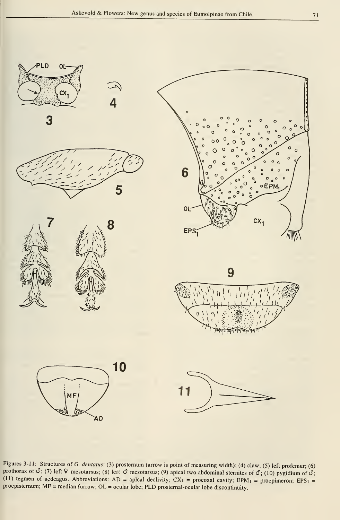

Figures 3-11: Structures of G. dentatus: (3) prosternum (arrow is point of measuring width); (4) claw; (5) left profemur; (6) prothorax of  $\vec{C}$ ; (7) left  $\vec{V}$  mesotarsus; (8) left  $\vec{C}$  mesotarsus; (9) apical two abdominal sternites of  $\vec{C}$ ; (10) pygidium of  $\vec{C}$ ; (11) tegmen of aedeagus. Abbreviations: AD = apical declivity;  $CX_1$  = procoxal cavity; EPM<sub>1</sub> = proepimeron; EPS<sub>1</sub> = proepisternum;  $MF = median$  furrow;  $OL = ocular$  lobe;  $PLD$  prosternal-ocular lobe discontinuity.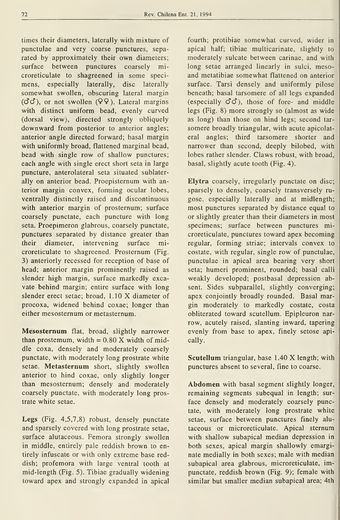times their diameters, laterally with mixture of punctulae and very coarse punctures, separated by approximately their own diameters; surface between punctures coarsely microreticulate to shagreened in some speci mens, especially laterally, disc laterally somewhat swollen, obscuring lateral margin  $(\vec{C}\vec{C})$ , or not swollen  $(\sqrt{2}, \sqrt{2})$ . Lateral margins with distinct uniform bead, evenly curved (dorsal view), directed strongly obliquely downward from posterior to anterior angles; anterior angle directed forward; basal margin with uniformly broad, flattened marginal bead, bead with single row of shallow punctures; each angle with single erect short seta in large puncture, anterolateral seta situated sublaterally on anterior bead. Proepisternum with anterior margin convex, forming ocular lobes, ventrally distinctly raised and discontinuous with anterior margin of prosternum; surface coarsely punctate, each puncture with long seta. Proepimeron glabrous, coarsely punctate, punctures separated by distance greater than their diameter, intervening surface microreticulate to shagreened. Prosternum (Fig. 3) anteriorly recessed for reception of base of head; anterior margin prominently raised as slender high margin, surface markedly excavate behind margin; entire surface with long slender erect setae; broad, 1.10 X diameter of procoxa, widened behind coxae; longer than either mesosternum or metasternum.

Mesosternum flat, broad, slightly narrower than prostemum, width  $= 0.80$  X width of middle coxa, densely and moderately coarsely punctate, with moderately long prostrate white setae. Metasternum short, slightly swollen anterior to hind coxae, only slightly longer than mesosternum; densely and moderately coarsely punctate, with moderately long prostrate white setae.

Legs (Fig. 4,5,7,8) robust, densely punctate and sparsely covered with long prostrate setae, surface alutaceous. Femora strongly swollen in middle, entirely pale reddish brown to entirely infúscate or with only extreme base reddish; profemora with large ventral tooth at mid-length (Fig. 5). Tibiae gradually widening toward apex and strongly expanded in apical

fourth; protibiae somewhat curved, wider in apical half; tibiae multicarinate, slightly to moderately sulcate between carinae, and with long setae arranged linearly in sulci, mesoand metatibiae somewhat flattened on anterior surface. Tarsi densely and uniformly pilose beneath; basal tarsomere of all legs expanded (especially  $\mathcal{O}\mathcal{O}$ ), those of fore- and middle legs (Fig. 8) more strongly so (almost as wide as long) than those on hind legs; second tar somere broadly triangular, with acute apicolateral angles; third tarsomere shorter and narrower than second, deeply bilobed, with lobes rather slender. Claws robust, with broad, basal, slightly acute tooth (Fig. 4).

Elytra coarsely, irregularly punctate on disc; sparsely to densely, coarsely transversely ru góse, especially laterally and at midlength; most punctures separated by distance equal to or slightly greater than their diameters in most specimens; surface between punctures microreticulate, punctures toward apex becoming regular, forming striae; intervals convex to costate, with regular, single row of punctulae, punctulae in apical área bearing very short seta; humeri prominent, rounded; basal calli weakly developed; postbasal depression absent. Sides subparallel, slightly converging; apex conjointly broadly rounded. Basal margin moderately to markedly costate, costa obliterated toward scutellum. Epipleuron nar row, acutely raised, slanting inward, tapering evenly from base to apex, finely setose apically.

Scutellum triangular, base 1.40 X length; with punctures absent to several, fine to coarse.

Abdomen with basal segment slightly longer, remaining segments subequal in length; sur face densely and moderately coarsely punctate, with moderately long prostrate white setae, surface between punctures finely alu taceous or microreticulate. Apical sternum with shallow subapical median depression in both sexes, apical margin shallowly emarginate medially in both sexes; male with median subapical area glabrous, microreticulate, impunctate, reddish brown (Fig. 9); female with similar but smaller median subapical area; 4th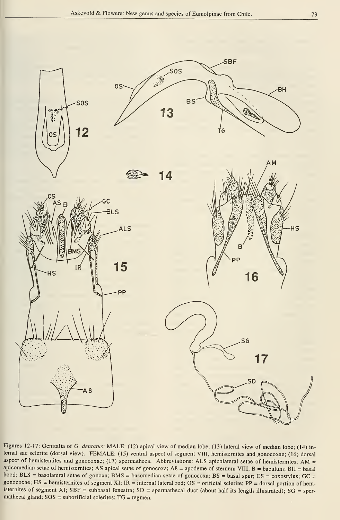

Figures 12-17: Genitalia of G. dentatus: MALE: (12) apical view of median lobe; (13) lateral view of median lobe; (14) internal sac sclerite (dorsal view). FEMALE: (15) ventral aspect of segment VIII, hemisternites and gonocoxae; (16) dorsal aspect of hemisternites and gonocoxae; (17) spermatheca. Abbreviations: ALS apicolateral setae of hemisternites; AM = apicomedian setae of hemisternites; AS apical setae of gonocoxa;  $A8 =$  apodeme of sternum VIII;  $B =$  baculum;  $BH =$  basal hood; BLS = basolateral setae of gonoxa; BMS = basomedian setae of gonocoxa; BS = basal spur; CS = coxostylus; GC = gonocoxae; HS = hemisternites of segment XI; IR = internal lateral rod; OS = orificial sclerite; PP = dorsal portion of hemisternites of segment XI; SBF = subbasal fenestra; SD = spermathecal duct (about half its length illustrated); SG = spermathecal gland;  $SOS =$  suborificial sclerites;  $TG =$  tegmen.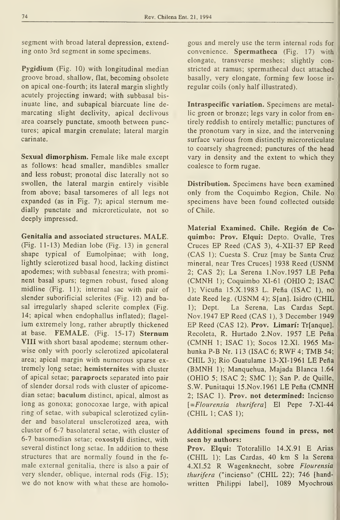segment with broad lateral depression, extending onto 3rd segment in some specimens.

Pygidium (Fig. 10) with longitudinal median groove broad, shallow, flat, becoming obsolete on apical one-fourth; its lateral margin slightly acutely projecting inward; with subbasal bis inuate line, and subapical biarcuate line demarcating slight declivity, apical declivous área coarsely punctate, smooth between punetures; apical margin crenulate; lateral margin carinate.

Sexual dimorphism. Female like male except as follows: head smaller, mandibles smaller and less robust; pronotal disc laterally not so swollen, the lateral margin entirely visible from above; basal tarsomeres of all legs not expanded (as in Fig. 7); apical sternum medially punctate and microreticulate, not so deeply impressed.

Genitalia and associated structures. MALE. (Fig. 11-13) Median lobe (Fig. 13) in general shape typical of Eumolpinae; with long, lightly scierotized basal hood, lacking distinct apodemes; with subbasal fenestra; with prominent basal spurs; tegmen robust, fused along midline (Fig. 11); internal sac with pair of slender suborificial sclerites (Fig. 12) and basal irregularly shaped sclerite complex (Fig. 14; apical when endophallus inflated); flagellum extremely long, rather abruptly thickened at base. FEMALE. (Fig. 15-17) Sternum VIII with short basal apodeme; sternum otherwise only with poorly scierotized apicolateral área; apical margin with numerous sparse ex tremely long setae; hemisternites with cluster of apical setae; paraprocts separated into pair of slender dorsal rods with cluster of apicomedian setae; baculum distinct, apical, almost as long as gonoxa; gonocoxae large, with apical ring of setae, with subapical scierotized cylinder and basolateral unsclerotized área, with cluster of 6-7 basolateral setae, with cluster of 6-7 basomedian setae; coxostyli distinct, with several distinct long setae. In addition to these structures that are normally found in the fe male external genitalia, there is also a pair of very slender, oblique, internal rods (Fig. 15); we do not know with what these are homolo-

gous and merely use the term internal rods for convenience. Spermatheca (Fig. 17) with elongate, transverse meshes; slightly constricted at ramus; spermathecal duct attached basally, very elongate, forming few loose irregular coils (only half illustrated).

Intraspecifíc variatíon. Specimens are metallie green or bronze; legs vary in color from entirely reddish to entirely metallic; punctures of the pronotum vary in size, and the intervening surface various from distinctly microreticulate to coarsely shagreened; punctures of the head vary in density and the extent to which they coalesce to form rugae.

Distribution. Specimens have been examined only from the Coquimbo Region, Chile. No specimens have been found collected outside of Chile.

Material Examined. Chile. Región de Coquimbo: Prov. Elqui: Depto. Ovalle, Tres Cruces EP Reed (CAS 3), 4-XII-37 EP Reed (CAS 1); Cuesta S. Cruz [may be Santa Cruz mineral, near Tres Cruces] 1938 Reed (USNM 2; CAS 2); La Serena l.Nov.l957 LE Peña (CMNH 1); Coquimbo XI-61 (OHIO 2; ISAC 1); Vicuña 15.X.1983 L. Peña (ISAC 1), no date Reed leg. (USNM 4); S[an]. Isidro (CHIL 1); Dept. La Serena, Las Cardas Sept. Nov.1947 EP Reed (CAS 1), <sup>3</sup> December 1949 EP Reed (CAS 12). Prov. Limarí: Tr[anque]. Recoleta, R. Hurtado 2.Nov. 1957 LE Peña (CMNH 1; ISAC 1); Socos 12.X1. <sup>1965</sup> Mahunka P-B Nr. <sup>1</sup> <sup>13</sup> (ISAC 6; RWF 4; TMB 54; CHIL 3); Rio Guatulame 13-XI-1961 LE Peña (BMNH 1); Manquehua, Majada Blanca 1.64 (OHIO 5; ISAC 2; SMC 1); San P. de Quille, S.W. Punitaqui 15.Nov.l961 LE Peña (CMNH 2; ISAC 1). Prov. not determined: Incienso [=Flourensia thurifera] El Pepe 7-XI-44 (CHIL 1; CAS 1);

### Additíonal specimens found in press, not seen by authors:

Prov. Elqui: Totoralillo 14.X.91 E Arias (CHIL 1); Las Cardas, 40 km S la Serena 4. XI. 52 R Wagenknecht, sobre Flourensia thurifera ("incienso" (CHIL 22); 746 [handwritten Philippi label], 1089 Myochrous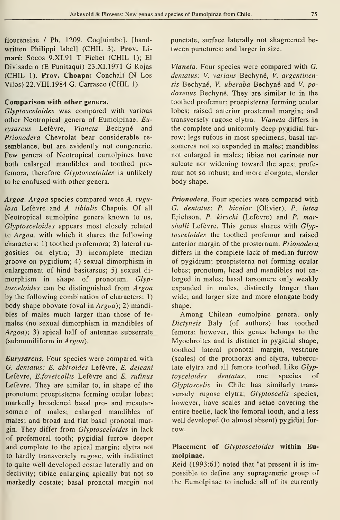flourensiae / Ph. 1209. Coq[uimbo]. [handwritten Philippi label] (CHIL 3). Prov. Liman': Socos 9.XI.91 T Fichet (CHIL 1); El Divisadero (E Punitaqui) 23.XI.1971 G Rojas (CHIL 1). Prov. Choapa: Conchalí (N Los Vilos) 22.VIII.1984 G. Carrasco (CHIL 1).

### Comparison with other genera.

Glyptosceloides was compared with various other Neotropical genera of Eumolpinae. Eurysarcus Lefévre, Vianeta Bechyné and Prionodera Chevrolat bear considerable re semblance, but are evidently not congeneric. Few genera of Neotropical eumolpines have both enlarged mandibles and toothed pro femora, therefore Glyptosceloides is unlikely to be confused with other genera.

Argoa. Argoa species compared were A. rugulosa Lefévre and A. tibialis Chapuis. Of all Neotropical eumolpine genera known to us, Glyptosceloides appears most closely related to Argoa, with which it shares the following characters: 1) toothed profemora; 2) lateral ru gosities on elytra; 3) incomplete median groove on pygidium; 4) sexual dimorphism in enlargement of hind basitarsus; 5) sexual di morphism in shape of pronotum. Glyptosceloides can be distinguished from Argoa by the following combination of characters: 1) body shape obovate (oval in Argoa); 2) mandibles of males much larger than those of fe males (no sexual dimorphism in mandibles of Argoa); 3) apical half of antennae subserrate (submoniliform in Argoa).

**Eurysarcus**. Four species were compared with G. dentatus: E. abiroides Lefévre, E. dejeani Lefèvre, E.foveicollis Lefèvre and E. rufinus Lefévre. They are similar to, in shape of the pronotum; proepisterna forming ocular lobes; markedly broadened basal pro- and mesotar somere of males; enlarged mandibles of males; and broad and flat basal pronotal margin. They differ from Glyptosceloides in lack of profemoral tooth; pygidial furrow deeper and complete to the apical margin; elytra not to hardly transversely rugose, with indistinct to quite well developed costae laterally and on declivity; tibiae enlarging apically but not so markedly costate; basal pronotal margin not punctate, surface laterally not shagreened between punctures; and larger in size.

Vianeta. Four species were compared with G. dentatus: V. varians Bechyné, V. argentinensis Bechyné, V. uberaba Bechyné and V. podoxenus Bechyné. They are similar to in the toothed profemur; proepisterna forming ocular lobes; raised anterior prosternal margin; and transversely rugose elytra. Vianeta differs in the complete and uniformly deep pygidial fur row; legs rufous in most specimens, basal tar someres not so expanded in males; mandibles not enlarged in males; tibiae not carinate nor sulcate nor widening toward the apex; profemur not so robust; and more elongate, slender body shape.

Prionodera. Four species were compared with G. dentatus: P. bicolor (Olivier), P. lutea Erichson, P. kirschi (Lefèvre) and P. marshalli Lefèvre. This genus shares with  $Glyp$ tosceloides the toothed profemur and raised anterior margin of the prosternum. Prionodera differs in the complete lack of median furrow of pygidium; proepisterna not forming ocular lobes; pronotum, head and mandibles not enlarged in males; basal tarsomere only weakly expanded in males, distinctly longer than wide; and larger size and more elongate body shape.

Among Chilean eumolpine genera, only Dictyneis Baly (of authors) has toothed femora; however, this genus belongs to the Myochroites and is distinct in pygidial shape, toothed lateral pronotal margin, vestiture (scales) of the prothorax and elytra, tuberculate elytra and all femora toothed. Like Glyptoyceloides dentatus, one species of Glyptoscelis in Chile has similarly trans versely rugose elytra; Glyptoscelis species, however, have scales and setae covering the entire beetle, lack 'the femoral tooth, and a less well developed (to almost absent) pygidial fur row.

# Placement of Glyptosceloides within Eumolpinae.

Reid (1993:61) noted that "at present it is impossible to define any suprageneric group of the Eumolpinae to include all of its currently